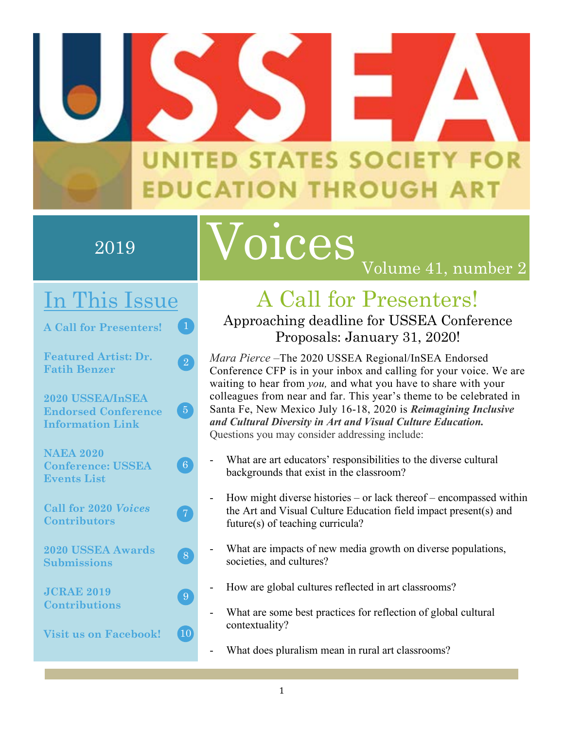# **InSEA World Congress, Summer 2017 UNITED STATES SOCIETY FOR EDUCATION THROUGH ART**

## 2019

# Voices

## In This Issue

**A Call for Presenters!**

 $\boxed{2}$ 

5

 $\left( 6\right)$ 

8

9

 $(10)$ 

**Featured Artist: Dr. Fatih Benzer**

**2020 USSEA/InSEA Endorsed Conference Information Link**

**NAEA 2020 Conference: USSEA Events List**

**Call for 2020** *Voices* **Contributors**

**2020 USSEA Awards Submissions**

**JCRAE 2019 Contributions**

**Visit us on Facebook!**

# A Call for Presenters!

Volume 41, number 2

Approaching deadline for USSEA Conference Proposals: January 31, 2020!

*Mara Pierce* –The 2020 USSEA Regional/InSEA Endorsed Conference CFP is in your inbox and calling for your voice. We are waiting to hear from *you,* and what you have to share with your colleagues from near and far. This year's theme to be celebrated in Santa Fe, New Mexico July 16-18, 2020 is *Reimagining Inclusive and Cultural Diversity in Art and Visual Culture Education.* Questions you may consider addressing include:

- What are art educators' responsibilities to the diverse cultural backgrounds that exist in the classroom?
- How might diverse histories or lack thereof encompassed within the Art and Visual Culture Education field impact present(s) and future(s) of teaching curricula?
- What are impacts of new media growth on diverse populations, societies, and cultures?
- How are global cultures reflected in art classrooms?
- What are some best practices for reflection of global cultural contextuality?
- What does pluralism mean in rural art classrooms?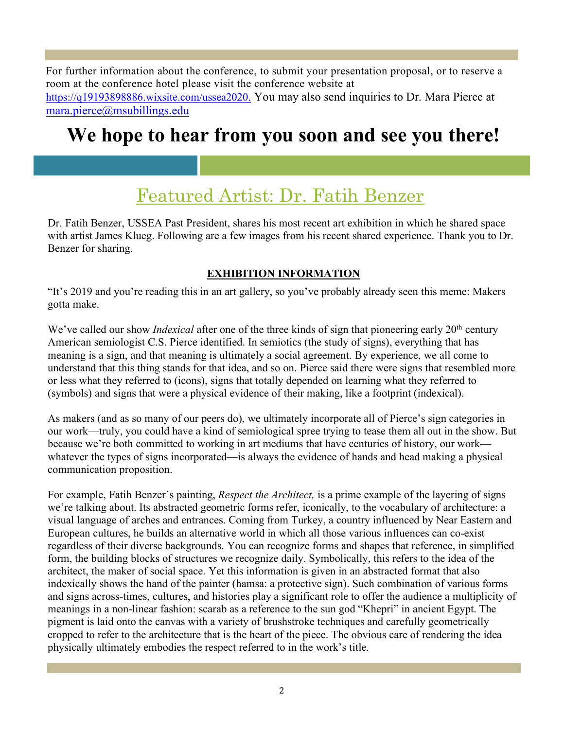For further information about the conference, to submit your presentation proposal, or to reserve a room at the conference hotel please visit the conference website at https://q19193898886.wixsite.com/ussea2020. You may also send inquiries to Dr. Mara Pierce at mara.pierce@msubillings.edu

## **We hope to hear from you soon and see you there!**

## Featured Artist: Dr. Fatih Benzer

Dr. Fatih Benzer, USSEA Past President, shares his most recent art exhibition in which he shared space with artist James Klueg. Following are a few images from his recent shared experience. Thank you to Dr. Benzer for sharing.

#### **EXHIBITION INFORMATION**

"It's 2019 and you're reading this in an art gallery, so you've probably already seen this meme: Makers gotta make.

We've called our show *Indexical* after one of the three kinds of sign that pioneering early 20<sup>th</sup> century American semiologist C.S. Pierce identified. In semiotics (the study of signs), everything that has meaning is a sign, and that meaning is ultimately a social agreement. By experience, we all come to understand that this thing stands for that idea, and so on. Pierce said there were signs that resembled more or less what they referred to (icons), signs that totally depended on learning what they referred to (symbols) and signs that were a physical evidence of their making, like a footprint (indexical).

As makers (and as so many of our peers do), we ultimately incorporate all of Pierce's sign categories in our work—truly, you could have a kind of semiological spree trying to tease them all out in the show. But because we're both committed to working in art mediums that have centuries of history, our work whatever the types of signs incorporated—is always the evidence of hands and head making a physical communication proposition.

For example, Fatih Benzer's painting, *Respect the Architect,* is a prime example of the layering of signs we're talking about. Its abstracted geometric forms refer, iconically, to the vocabulary of architecture: a visual language of arches and entrances. Coming from Turkey, a country influenced by Near Eastern and European cultures, he builds an alternative world in which all those various influences can co-exist regardless of their diverse backgrounds. You can recognize forms and shapes that reference, in simplified form, the building blocks of structures we recognize daily. Symbolically, this refers to the idea of the architect, the maker of social space. Yet this information is given in an abstracted format that also indexically shows the hand of the painter (hamsa: a protective sign). Such combination of various forms and signs across-times, cultures, and histories play a significant role to offer the audience a multiplicity of meanings in a non-linear fashion: scarab as a reference to the sun god "Khepri" in ancient Egypt. The pigment is laid onto the canvas with a variety of brushstroke techniques and carefully geometrically cropped to refer to the architecture that is the heart of the piece. The obvious care of rendering the idea physically ultimately embodies the respect referred to in the work's title.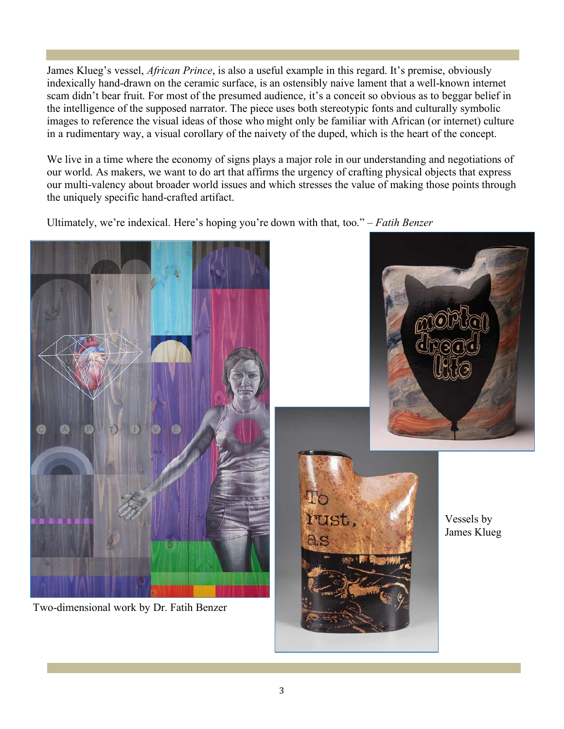James Klueg's vessel, *African Prince*, is also a useful example in this regard. It's premise, obviously indexically hand-drawn on the ceramic surface, is an ostensibly naive lament that a well-known internet scam didn't bear fruit. For most of the presumed audience, it's a conceit so obvious as to beggar belief in the intelligence of the supposed narrator. The piece uses both stereotypic fonts and culturally symbolic images to reference the visual ideas of those who might only be familiar with African (or internet) culture in a rudimentary way, a visual corollary of the naivety of the duped, which is the heart of the concept.

We live in a time where the economy of signs plays a major role in our understanding and negotiations of our world. As makers, we want to do art that affirms the urgency of crafting physical objects that express our multi-valency about broader world issues and which stresses the value of making those points through the uniquely specific hand-crafted artifact.

Ultimately, we're indexical. Here's hoping you're down with that, too." – *Fatih Benzer*

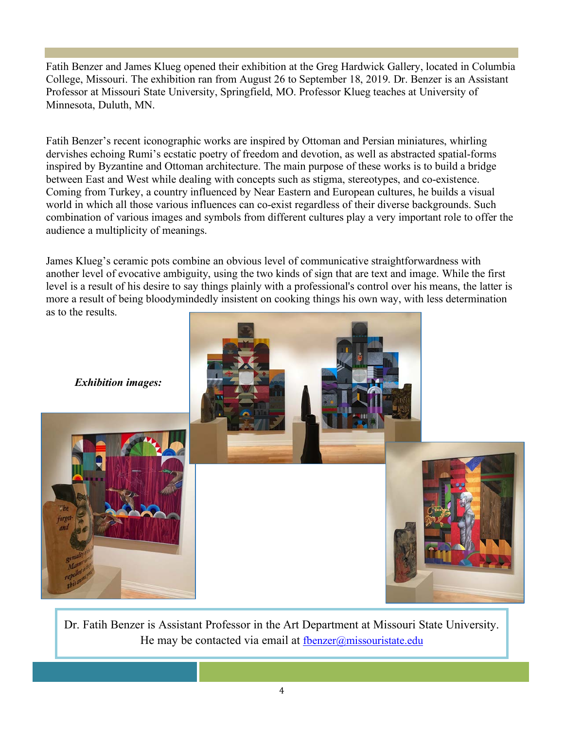Fatih Benzer and James Klueg opened their exhibition at the Greg Hardwick Gallery, located in Columbia College, Missouri. The exhibition ran from August 26 to September 18, 2019. Dr. Benzer is an Assistant Professor at Missouri State University, Springfield, MO. Professor Klueg teaches at University of Minnesota, Duluth, MN.

Fatih Benzer's recent iconographic works are inspired by Ottoman and Persian miniatures, whirling dervishes echoing Rumi's ecstatic poetry of freedom and devotion, as well as abstracted spatial-forms inspired by Byzantine and Ottoman architecture. The main purpose of these works is to build a bridge between East and West while dealing with concepts such as stigma, stereotypes, and co-existence. Coming from Turkey, a country influenced by Near Eastern and European cultures, he builds a visual world in which all those various influences can co-exist regardless of their diverse backgrounds. Such combination of various images and symbols from different cultures play a very important role to offer the audience a multiplicity of meanings.

James Klueg's ceramic pots combine an obvious level of communicative straightforwardness with another level of evocative ambiguity, using the two kinds of sign that are text and image. While the first level is a result of his desire to say things plainly with a professional's control over his means, the latter is more a result of being bloodymindedly insistent on cooking things his own way, with less determination as to the results.



Dr. Fatih Benzer is Assistant Professor in the Art Department at Missouri State University. He may be contacted via email at  $fbenzer@missouristate.edu$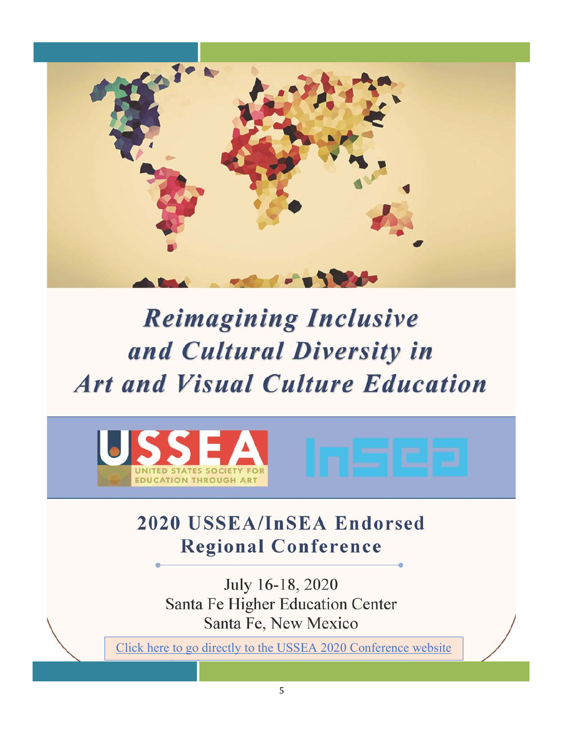

# **Reimagining Inclusive** and Cultural Diversity in **Art and Visual Culture Education**



## **2020 USSEA/InSEA Endorsed Regional Conference**

July 16-18, 2020 Santa Fe Higher Education Center Santa Fe, New Mexico

Click here to go directly to the USSEA 2020 [Conference](https://q19193898886.wixsite.com/ussea2020) website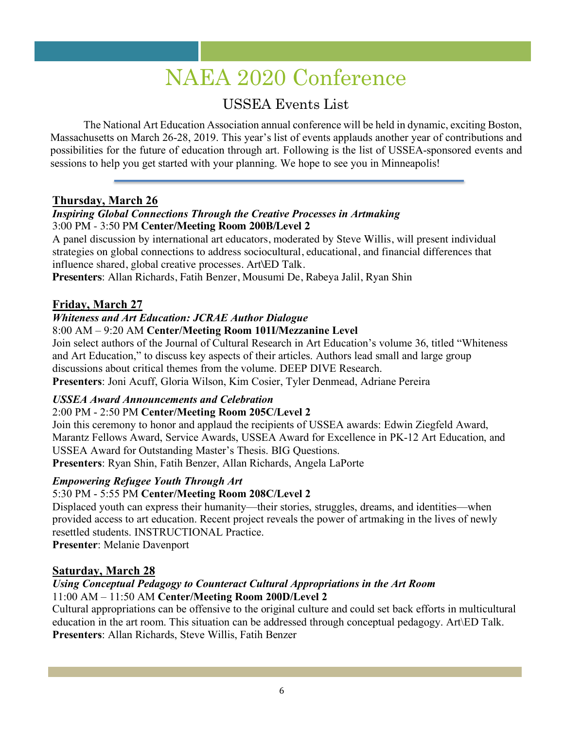## NAEA 2020 Conference

#### USSEA Events List

The National Art Education Association annual conference will be held in dynamic, exciting Boston, Massachusetts on March 26-28, 2019. This year's list of events applauds another year of contributions and possibilities for the future of education through art. Following is the list of USSEA-sponsored events and sessions to help you get started with your planning. We hope to see you in Minneapolis!

#### **Thursday, March 26**

#### *Inspiring Global Connections Through the Creative Processes in Artmaking* 3:00 PM - 3:50 PM **Center/Meeting Room 200B/Level 2**

A panel discussion by international art educators, moderated by Steve Willis, will present individual strategies on global connections to address sociocultural, educational, and financial differences that influence shared, global creative processes. Art\ED Talk.

**Presenters**: Allan Richards, Fatih Benzer, Mousumi De, Rabeya Jalil, Ryan Shin

#### **Friday, March 27**

#### *Whiteness and Art Education: JCRAE Author Dialogue*

#### 8:00 AM – 9:20 AM **Center/Meeting Room 101I/Mezzanine Level**

Join select authors of the Journal of Cultural Research in Art Education's volume 36, titled "Whiteness and Art Education," to discuss key aspects of their articles. Authors lead small and large group discussions about critical themes from the volume. DEEP DIVE Research.

**Presenters**: Joni Acuff, Gloria Wilson, Kim Cosier, Tyler Denmead, Adriane Pereira

#### *USSEA Award Announcements and Celebration*

#### 2:00 PM - 2:50 PM **Center/Meeting Room 205C/Level 2**

Join this ceremony to honor and applaud the recipients of USSEA awards: Edwin Ziegfeld Award, Marantz Fellows Award, Service Awards, USSEA Award for Excellence in PK-12 Art Education, and USSEA Award for Outstanding Master's Thesis. BIG Questions.

**Presenters**: Ryan Shin, Fatih Benzer, Allan Richards, Angela LaPorte

#### *Empowering Refugee Youth Through Art*

#### 5:30 PM - 5:55 PM **Center/Meeting Room 208C/Level 2**

Displaced youth can express their humanity—their stories, struggles, dreams, and identities—when provided access to art education. Recent project reveals the power of artmaking in the lives of newly resettled students. INSTRUCTIONAL Practice.

**Presenter**: Melanie Davenport

#### **Saturday, March 28**

#### *Using Conceptual Pedagogy to Counteract Cultural Appropriations in the Art Room* 11:00 AM – 11:50 AM **Center/Meeting Room 200D/Level 2**

Cultural appropriations can be offensive to the original culture and could set back efforts in multicultural education in the art room. This situation can be addressed through conceptual pedagogy. Art\ED Talk. **Presenters**: Allan Richards, Steve Willis, Fatih Benzer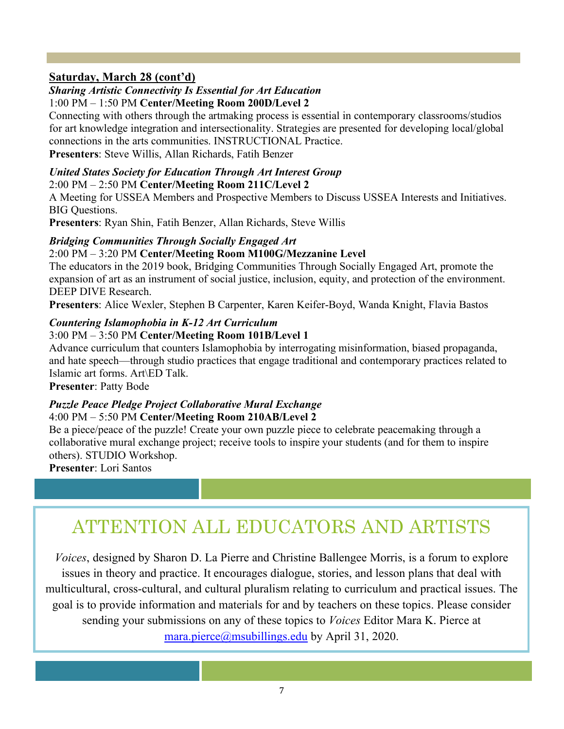#### **Saturday, March 28 (cont'd)**

#### *Sharing Artistic Connectivity Is Essential for Art Education* 1:00 PM – 1:50 PM **Center/Meeting Room 200D/Level 2**

Connecting with others through the artmaking process is essential in contemporary classrooms/studios for art knowledge integration and intersectionality. Strategies are presented for developing local/global connections in the arts communities. INSTRUCTIONAL Practice. **Presenters**: Steve Willis, Allan Richards, Fatih Benzer

### *United States Society for Education Through Art Interest Group*

#### 2:00 PM – 2:50 PM **Center/Meeting Room 211C/Level 2**

A Meeting for USSEA Members and Prospective Members to Discuss USSEA Interests and Initiatives. BIG Questions.

**Presenters**: Ryan Shin, Fatih Benzer, Allan Richards, Steve Willis

#### *Bridging Communities Through Socially Engaged Art*

#### 2:00 PM – 3:20 PM **Center/Meeting Room M100G/Mezzanine Level**

The educators in the 2019 book, Bridging Communities Through Socially Engaged Art, promote the expansion of art as an instrument of social justice, inclusion, equity, and protection of the environment. DEEP DIVE Research.

**Presenters**: Alice Wexler, Stephen B Carpenter, Karen Keifer-Boyd, Wanda Knight, Flavia Bastos

#### *Countering Islamophobia in K-12 Art Curriculum*

#### 3:00 PM – 3:50 PM **Center/Meeting Room 101B/Level 1**

Advance curriculum that counters Islamophobia by interrogating misinformation, biased propaganda, and hate speech—through studio practices that engage traditional and contemporary practices related to Islamic art forms. Art\ED Talk.

#### **Presenter**: Patty Bode

#### *Puzzle Peace Pledge Project Collaborative Mural Exchange* 4:00 PM – 5:50 PM **Center/Meeting Room 210AB/Level 2**

Be a piece/peace of the puzzle! Create your own puzzle piece to celebrate peacemaking through a collaborative mural exchange project; receive tools to inspire your students (and for them to inspire others). STUDIO Workshop.

**Presenter**: Lori Santos

## ATTENTION ALL EDUCATORS AND ARTISTS

*Voices*, designed by Sharon D. La Pierre and Christine Ballengee Morris, is a forum to explore issues in theory and practice. It encourages dialogue, stories, and lesson plans that deal with multicultural, cross-cultural, and cultural pluralism relating to curriculum and practical issues. The goal is to provide information and materials for and by teachers on these topics. Please consider sending your submissions on any of these topics to *Voices* Editor Mara K. Pierce at mara.pierce@msubillings.edu by April 31, 2020.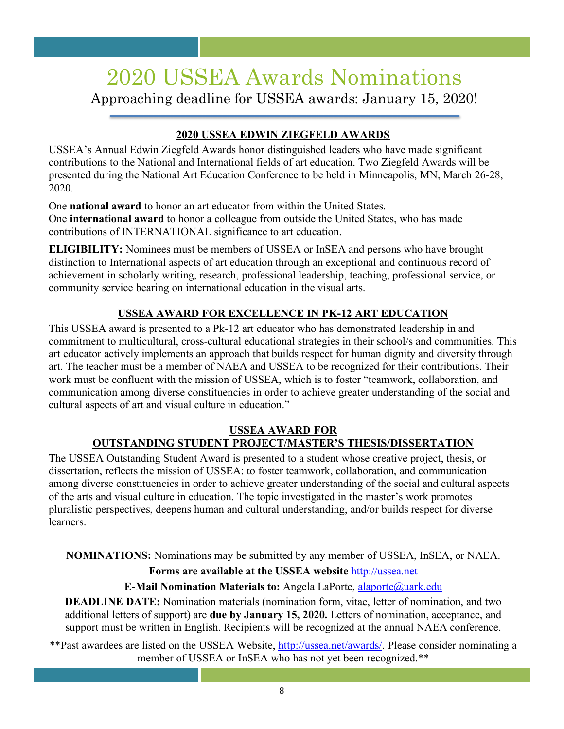## 2020 USSEA Awards Nominations Approaching deadline for USSEA awards: January 15, 2020!

#### **2020 USSEA EDWIN ZIEGFELD AWARDS**

USSEA's Annual Edwin Ziegfeld Awards honor distinguished leaders who have made significant contributions to the National and International fields of art education. Two Ziegfeld Awards will be presented during the National Art Education Conference to be held in Minneapolis, MN, March 26-28, 2020.

One **national award** to honor an art educator from within the United States. One **international award** to honor a colleague from outside the United States, who has made contributions of INTERNATIONAL significance to art education.

**ELIGIBILITY:** Nominees must be members of USSEA or InSEA and persons who have brought distinction to International aspects of art education through an exceptional and continuous record of achievement in scholarly writing, research, professional leadership, teaching, professional service, or community service bearing on international education in the visual arts.

#### **USSEA AWARD FOR EXCELLENCE IN PK-12 ART EDUCATION**

This USSEA award is presented to a Pk-12 art educator who has demonstrated leadership in and commitment to multicultural, cross-cultural educational strategies in their school/s and communities. This art educator actively implements an approach that builds respect for human dignity and diversity through art. The teacher must be a member of NAEA and USSEA to be recognized for their contributions. Their work must be confluent with the mission of USSEA, which is to foster "teamwork, collaboration, and communication among diverse constituencies in order to achieve greater understanding of the social and cultural aspects of art and visual culture in education."

#### **USSEA AWARD FOR OUTSTANDING STUDENT PROJECT/MASTER'S THESIS/DISSERTATION**

The USSEA Outstanding Student Award is presented to a student whose creative project, thesis, or dissertation, reflects the mission of USSEA: to foster teamwork, collaboration, and communication among diverse constituencies in order to achieve greater understanding of the social and cultural aspects of the arts and visual culture in education. The topic investigated in the master's work promotes pluralistic perspectives, deepens human and cultural understanding, and/or builds respect for diverse learners.

**NOMINATIONS:** Nominations may be submitted by any member of USSEA, InSEA, or NAEA.

#### **Forms are available at the USSEA website** http://ussea.net

#### **E-Mail Nomination Materials to:** Angela LaPorte, *alaporte@uark.edu*

**DEADLINE DATE:** Nomination materials (nomination form, vitae, letter of nomination, and two additional letters of support) are **due by January 15, 2020.** Letters of nomination, acceptance, and support must be written in English. Recipients will be recognized at the annual NAEA conference.

\*\*Past awardees are listed on the USSEA Website, http://ussea.net/awards/. Please consider nominating a member of USSEA or InSEA who has not yet been recognized.\*\*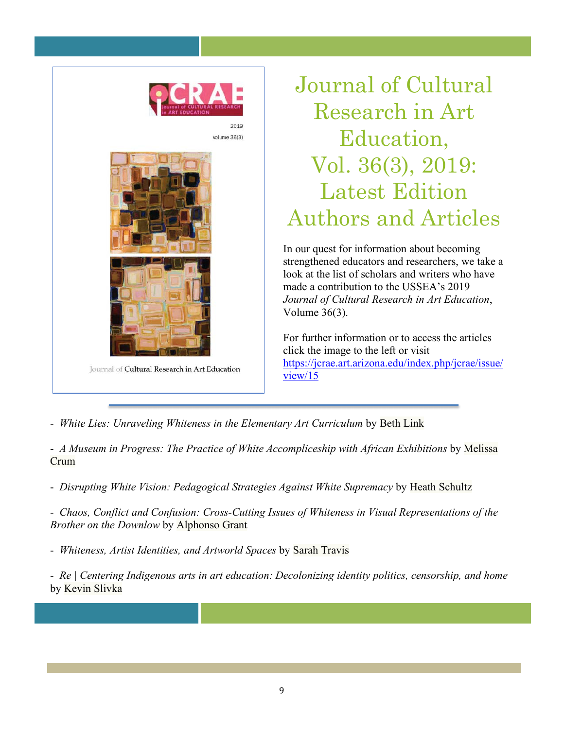

Journal of Cultural Research in Art Education, Vol. 36(3), 2019: Latest Edition Authors and Articles

In our quest for information about becoming strengthened educators and researchers, we take a look at the list of scholars and writers who have made a contribution to the USSEA's 2019 *Journal of Cultural Research in Art Education*, Volume 36(3).

For further information or to access the articles click the image to the left or visit https://jcrae.art.arizona.edu/index.php/jcrae/issue/ view/15

- *White Lies: Unraveling Whiteness in the Elementary Art Curriculum* by Beth Link

- *A Museum in Progress: The Practice of White Accompliceship with African Exhibitions* by Melissa Crum

- *Disrupting White Vision: Pedagogical Strategies Against White Supremacy* by Heath Schultz

- *Chaos, Conflict and Confusion: Cross-Cutting Issues of Whiteness in Visual Representations of the Brother on the Downlow* by Alphonso Grant

- *Whiteness, Artist Identities, and Artworld Spaces* by Sarah Travis

- *Re | Centering Indigenous arts in art education: Decolonizing identity politics, censorship, and home* by Kevin Slivka